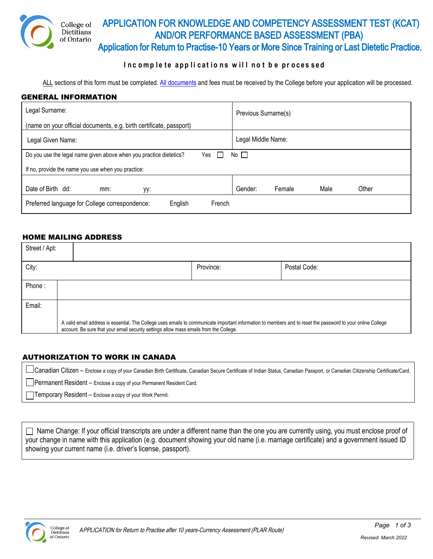

### **I n c omp l e te ap p l i cat i o n s w i l l n o t b e p r oces sed**

ALL sections of this form must be completed. [All documents](#page-1-0) and fees must be received by the College before your application will be processed.

#### GENERAL INFORMATION

| Legal Surname:                                                                  | Previous Surname(s)                |  |  |
|---------------------------------------------------------------------------------|------------------------------------|--|--|
| (name on your official documents, e.g. birth certificate, passport)             |                                    |  |  |
| Legal Given Name:                                                               | Legal Middle Name:                 |  |  |
| No<br>Do you use the legal name given above when you practice dietetics?<br>Yes |                                    |  |  |
| If no, provide the name you use when you practice:                              |                                    |  |  |
| Date of Birth dd:<br>mm:<br>уу:                                                 | Male<br>Gender:<br>Female<br>Other |  |  |
| Preferred language for College correspondence:<br>English<br>French             |                                    |  |  |

### HOME MAILING ADDRESS

| Street / Apt: |                                                                                                                                                                                                                                                        |           |              |
|---------------|--------------------------------------------------------------------------------------------------------------------------------------------------------------------------------------------------------------------------------------------------------|-----------|--------------|
| City:         |                                                                                                                                                                                                                                                        | Province: | Postal Code: |
| Phone:        |                                                                                                                                                                                                                                                        |           |              |
| Email:        |                                                                                                                                                                                                                                                        |           |              |
|               | A valid email address is essential. The College uses emails to communicate important information to members and to reset the password to your online College<br>account. Be sure that your email security settings allow mass emails from the College. |           |              |

#### AUTHORIZATION TO WORK IN CANADA

Canadian Citizen – Enclose a copy of your Canadian Birth Certificate, Canadian Secure Certificate of Indian Status, Canadian Passport, or Canadian Citizenship Certificate/Card.

**Permanent Resident** – Enclose a copy of your Permanent Resident Card.

Temporary Resident – Enclose a copy of your Work Permit.

 $\Box$  Name Change: If your official transcripts are under a different name than the one you are currently using, you must enclose proof of your change in name with this application (e.g. document showing your old name (i.e. marriage certificate) and a government issued ID showing your current name (i.e. driver's license, passport).

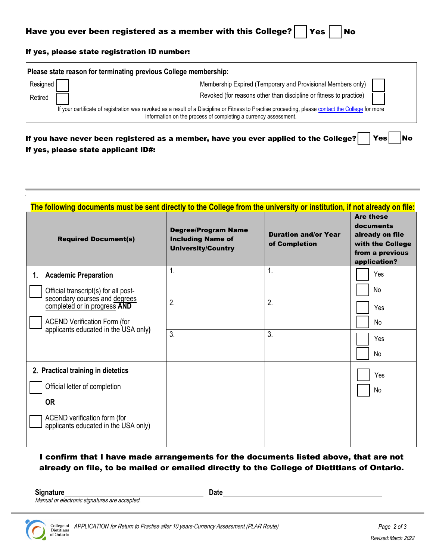### <span id="page-1-0"></span>If yes, please state registration ID number:

| Please state reason for terminating previous College membership:                                                                                                                                                      |          |  |                                                                    |
|-----------------------------------------------------------------------------------------------------------------------------------------------------------------------------------------------------------------------|----------|--|--------------------------------------------------------------------|
|                                                                                                                                                                                                                       | Resigned |  | Membership Expired (Temporary and Provisional Members only)        |
|                                                                                                                                                                                                                       | Retired  |  | Revoked (for reasons other than discipline or fitness to practice) |
| If your certificate of registration was revoked as a result of a Discipline or Fitness to Practise proceeding, please contact the College for more<br>information on the process of completing a currency assessment. |          |  |                                                                    |

| If you have never been registered as a member, have you ever applied to the College? $\vert$ Yes $\vert$ No |  |  |
|-------------------------------------------------------------------------------------------------------------|--|--|
| If yes, please state applicant ID#:                                                                         |  |  |

| <b>Required Document(s)</b>                                                 | <b>Degree/Program Name</b><br><b>Including Name of</b><br><b>University/Country</b> | <b>Duration and/or Year</b><br>of Completion | <b>Are these</b><br>documents<br>already on file<br>with the College<br>from a previous<br>application? |
|-----------------------------------------------------------------------------|-------------------------------------------------------------------------------------|----------------------------------------------|---------------------------------------------------------------------------------------------------------|
| <b>Academic Preparation</b><br>1.                                           | 1.                                                                                  | $\mathbf{1}$                                 | Yes                                                                                                     |
| Official transcript(s) for all post-                                        |                                                                                     |                                              | No                                                                                                      |
| secondary courses and degrees<br>completed or in progress AND               | 2.                                                                                  | 2.                                           | Yes                                                                                                     |
| <b>ACEND Verification Form (for</b><br>applicants educated in the USA only) |                                                                                     |                                              | No                                                                                                      |
|                                                                             | 3.                                                                                  | 3.                                           | Yes                                                                                                     |
|                                                                             |                                                                                     |                                              | No                                                                                                      |
| 2. Practical training in dietetics                                          |                                                                                     |                                              | Yes                                                                                                     |
| Official letter of completion                                               |                                                                                     |                                              | No                                                                                                      |
| <b>OR</b>                                                                   |                                                                                     |                                              |                                                                                                         |
| ACEND verification form (for<br>applicants educated in the USA only)        |                                                                                     |                                              |                                                                                                         |

# I confirm that I have made arrangements for the documents listed above, that are not already on file, to be mailed or emailed directly to the College of Dietitians of Ontario.

Signature Date Date

Manual or electronic signatures are accepted.